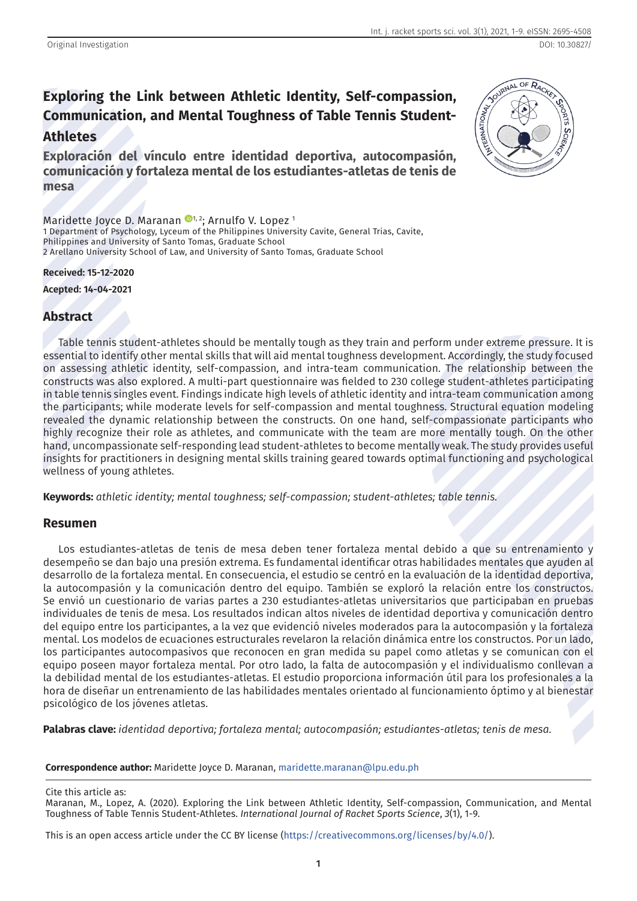# **Exploring the Link between Athletic Identity, Self-compassion, Communication, and Mental Toughness of Table Tennis Student-Athletes**

**Exploración del vínculo entre identidad deportiva, autocompasión, comunicación y fortaleza mental de los estudiantes-atletas de tenis de mesa**

Maridette Joyce D. Maranan <sup>1, 2</sup>; Arnulfo V. Lopez<sup>1</sup> 1 Department of Psychology, Lyceum of the Philippines University Cavite, General Trias, Cavite, Philippines and University of Santo Tomas, Graduate School 2 Arellano University School of Law, and University of Santo Tomas, Graduate School

#### **Received: 15-12-2020**

**Acepted: 14-04-2021**

# **Abstract**

Table tennis student-athletes should be mentally tough as they train and perform under extreme pressure. It is essential to identify other mental skills that will aid mental toughness development. Accordingly, the study focused on assessing athletic identity, self-compassion, and intra-team communication. The relationship between the constructs was also explored. A multi-part questionnaire was fielded to 230 college student-athletes participating in table tennis singles event. Findings indicate high levels of athletic identity and intra-team communication among the participants; while moderate levels for self-compassion and mental toughness. Structural equation modeling revealed the dynamic relationship between the constructs. On one hand, self-compassionate participants who highly recognize their role as athletes, and communicate with the team are more mentally tough. On the other hand, uncompassionate self-responding lead student-athletes to become mentally weak. The study provides useful insights for practitioners in designing mental skills training geared towards optimal functioning and psychological wellness of young athletes.

**Keywords:** *athletic identity; mental toughness; self-compassion; student-athletes; table tennis.*

### **Resumen**

Los estudiantes-atletas de tenis de mesa deben tener fortaleza mental debido a que su entrenamiento y desempeño se dan bajo una presión extrema. Es fundamental identificar otras habilidades mentales que ayuden al desarrollo de la fortaleza mental. En consecuencia, el estudio se centró en la evaluación de la identidad deportiva, la autocompasión y la comunicación dentro del equipo. También se exploró la relación entre los constructos. Se envió un cuestionario de varias partes a 230 estudiantes-atletas universitarios que participaban en pruebas individuales de tenis de mesa. Los resultados indican altos niveles de identidad deportiva y comunicación dentro del equipo entre los participantes, a la vez que evidenció niveles moderados para la autocompasión y la fortaleza mental. Los modelos de ecuaciones estructurales revelaron la relación dinámica entre los constructos. Por un lado, los participantes autocompasivos que reconocen en gran medida su papel como atletas y se comunican con el equipo poseen mayor fortaleza mental. Por otro lado, la falta de autocompasión y el individualismo conllevan a la debilidad mental de los estudiantes-atletas. El estudio proporciona información útil para los profesionales a la hora de diseñar un entrenamiento de las habilidades mentales orientado al funcionamiento óptimo y al bienestar psicológico de los jóvenes atletas.

**Palabras clave:** *identidad deportiva; fortaleza mental; autocompasión; estudiantes-atletas; tenis de mesa.*

**Correspondence author:** Maridette Joyce D. Maranan, [maridette.maranan@lpu.edu.ph](mailto:maridette.maranan@lpu.edu.ph)

Cite this article as:

This is an open access article under the CC BY license [\(https://creativecommons.org/licenses/by/4.0/](https://creativecommons.org/licenses/by/4.0/)).



Maranan, M., Lopez, A. (2020). Exploring the Link between Athletic Identity, Self-compassion, Communication, and Mental Toughness of Table Tennis Student-Athletes. *International Journal of Racket Sports Science*, *3*(1), 1-9.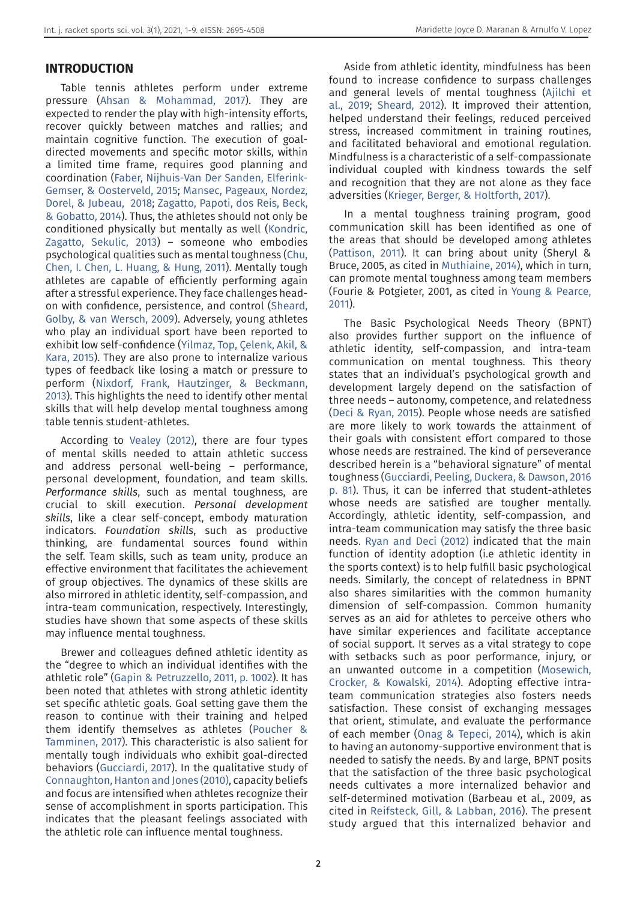## **INTRODUCTION**

Table tennis athletes perform under extreme pressure ([Ahsan & Mohammad, 2017](#page-6-1)). They are expected to render the play with high-intensity efforts, recover quickly between matches and rallies; and maintain cognitive function. The execution of goaldirected movements and specific motor skills, within a limited time frame, requires good planning and coordination ([Faber, Nijhuis-Van Der Sanden, Elferink-](#page-7-5)[Gemser, & Oosterveld, 2015;](#page-7-5) [Mansec, Pageaux, Nordez,](#page-7-6)  [Dorel, & Jubeau, 2018](#page-7-6); [Zagatto, Papoti, dos Reis, Beck,](#page-8-6)  [& Gobatto, 2014](#page-8-6)). Thus, the athletes should not only be conditioned physically but mentally as well ([Kondric,](#page-7-7)  [Zagatto, Sekulic, 2013\)](#page-7-7) – someone who embodies psychological qualities such as mental toughness [\(Chu,](#page-6-2)  [Chen, I. Chen, L. Huang, & Hung, 2011\)](#page-6-2). Mentally tough athletes are capable of efficiently performing again after a stressful experience. They face challenges headon with confidence, persistence, and control ([Sheard,](#page-8-7)  [Golby, & van Wersch, 2009\)](#page-8-7). Adversely, young athletes who play an individual sport have been reported to exhibit low self-confidence (Yilmaz, Top, Çelenk, Akil, & Kara, 2015). They are also prone to internalize various types of feedback like losing a match or pressure to perform ([Nixdorf, Frank, Hautzinger, & Beckmann,](#page-7-8)  [2013](#page-7-8)). This highlights the need to identify other mental skills that will help develop mental toughness among table tennis student-athletes.

According to [Vealey \(2012\),](#page-8-8) there are four types of mental skills needed to attain athletic success and address personal well-being – performance, personal development, foundation, and team skills. *Performance skills*, such as mental toughness, are crucial to skill execution. *Personal development skills*, like a clear self-concept, embody maturation indicators. *Foundation skills*, such as productive thinking, are fundamental sources found within the self. Team skills, such as team unity, produce an effective environment that facilitates the achievement of group objectives. The dynamics of these skills are also mirrored in athletic identity, self-compassion, and intra-team communication, respectively. Interestingly, studies have shown that some aspects of these skills may influence mental toughness.

Brewer and colleagues defined athletic identity as the "degree to which an individual identifies with the athletic role" ([Gapin & Petruzzello, 2011, p. 1002\)](#page-7-9). It has been noted that athletes with strong athletic identity set specific athletic goals. Goal setting gave them the reason to continue with their training and helped them identify themselves as athletes [\(Poucher &](#page-8-9)  [Tamminen, 2017\)](#page-8-9). This characteristic is also salient for mentally tough individuals who exhibit goal-directed behaviors [\(Gucciardi, 2017](#page-7-10)). In the qualitative study of [Connaughton, Hanton and Jones \(2010\),](#page-6-3) capacity beliefs and focus are intensified when athletes recognize their sense of accomplishment in sports participation. This indicates that the pleasant feelings associated with the athletic role can influence mental toughness.

Aside from athletic identity, mindfulness has been found to increase confidence to surpass challenges and general levels of mental toughness [\(Ajilchi et](#page-6-0)  [al., 2019;](#page-6-0) [Sheard, 2012\)](#page-8-0). It improved their attention, helped understand their feelings, reduced perceived stress, increased commitment in training routines, and facilitated behavioral and emotional regulation. Mindfulness is a characteristic of a self-compassionate individual coupled with kindness towards the self and recognition that they are not alone as they face adversities ([Krieger, Berger, & Holtforth, 2017\)](#page-7-0).

In a mental toughness training program, good communication skill has been identified as one of the areas that should be developed among athletes ([Pattison, 2011\)](#page-8-1). It can bring about unity (Sheryl & Bruce, 2005, as cited in [Muthiaine, 2014](#page-7-1)), which in turn, can promote mental toughness among team members (Fourie & Potgieter, 2001, as cited in [Young & Pearce,](#page-8-2)  [2011](#page-8-2)).

The Basic Psychological Needs Theory (BPNT) also provides further support on the influence of athletic identity, self-compassion, and intra-team communication on mental toughness. This theory states that an individual's psychological growth and development largely depend on the satisfaction of three needs – autonomy, competence, and relatedness ([Deci & Ryan, 2015](#page-7-2)). People whose needs are satisfied are more likely to work towards the attainment of their goals with consistent effort compared to those whose needs are restrained. The kind of perseverance described herein is a "behavioral signature" of mental toughness [\(Gucciardi, Peeling, Duckera, & Dawson, 2016](#page-7-3)  [p. 81\)](#page-7-3). Thus, it can be inferred that student-athletes whose needs are satisfied are tougher mentally. Accordingly, athletic identity, self-compassion, and intra-team communication may satisfy the three basic needs. [Ryan and Deci \(2012\)](#page-8-3) indicated that the main function of identity adoption (i.e athletic identity in the sports context) is to help fulfill basic psychological needs. Similarly, the concept of relatedness in BPNT also shares similarities with the common humanity dimension of self-compassion. Common humanity serves as an aid for athletes to perceive others who have similar experiences and facilitate acceptance of social support. It serves as a vital strategy to cope with setbacks such as poor performance, injury, or an unwanted outcome in a competition [\(Mosewich,](#page-7-4)  [Crocker, & Kowalski, 2014](#page-7-4)). Adopting effective intrateam communication strategies also fosters needs satisfaction. These consist of exchanging messages that orient, stimulate, and evaluate the performance of each member [\(Onag & Tepeci, 2014](#page-8-4)), which is akin to having an autonomy-supportive environment that is needed to satisfy the needs. By and large, BPNT posits that the satisfaction of the three basic psychological needs cultivates a more internalized behavior and self-determined motivation (Barbeau et al., 2009, as cited in [Reifsteck, Gill, & Labban, 2016\)](#page-8-5). The present study argued that this internalized behavior and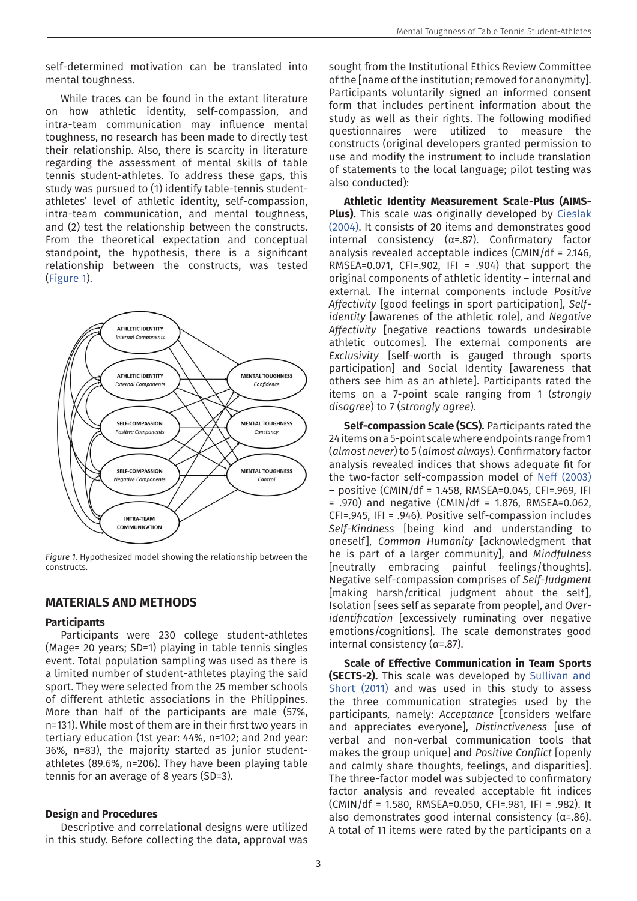self-determined motivation can be translated into mental toughness.

While traces can be found in the extant literature on how athletic identity, self-compassion, and intra-team communication may influence mental toughness, no research has been made to directly test their relationship. Also, there is scarcity in literature regarding the assessment of mental skills of table tennis student-athletes. To address these gaps, this study was pursued to (1) identify table-tennis studentathletes' level of athletic identity, self-compassion, intra-team communication, and mental toughness, and (2) test the relationship between the constructs. From the theoretical expectation and conceptual standpoint, the hypothesis, there is a significant relationship between the constructs, was tested ([Figure 1\)](#page-2-0).



<span id="page-2-0"></span>*Figure 1.* Hypothesized model showing the relationship between the constructs.

### **MATERIALS AND METHODS**

#### **Participants**

Participants were 230 college student-athletes (Mage= 20 years; SD=1) playing in table tennis singles event. Total population sampling was used as there is a limited number of student-athletes playing the said sport. They were selected from the 25 member schools of different athletic associations in the Philippines. More than half of the participants are male (57%, n=131). While most of them are in their first two years in tertiary education (1st year: 44%, n=102; and 2nd year: 36%, n=83), the majority started as junior studentathletes (89.6%, n=206). They have been playing table tennis for an average of 8 years (SD=3).

#### **Design and Procedures**

Descriptive and correlational designs were utilized in this study. Before collecting the data, approval was sought from the Institutional Ethics Review Committee of the [name of the institution; removed for anonymity]. Participants voluntarily signed an informed consent form that includes pertinent information about the study as well as their rights. The following modified questionnaires were utilized to measure the constructs (original developers granted permission to use and modify the instrument to include translation of statements to the local language; pilot testing was also conducted):

**Athletic Identity Measurement Scale-Plus (AIMS-Plus).** This scale was originally developed by [Cieslak](#page-6-4)  [\(2004\)](#page-6-4). It consists of 20 items and demonstrates good internal consistency ( $α=0.87$ ). Confirmatory factor analysis revealed acceptable indices (CMIN/df = 2.146, RMSEA=0.071, CFI=.902, IFI = .904) that support the original components of athletic identity – internal and external. The internal components include *Positive Affectivity* [good feelings in sport participation], *Selfidentity* [awarenes of the athletic role], and *Negative Affectivity* [negative reactions towards undesirable athletic outcomes]. The external components are *Exclusivity* [self-worth is gauged through sports participation] and Social Identity [awareness that others see him as an athlete]. Participants rated the items on a 7-point scale ranging from 1 (*strongly disagree*) to 7 (*strongly agree*).

**Self-compassion Scale (SCS).** Participants rated the 24 items on a 5-point scale where endpoints range from 1 (*almost never*) to 5 (*almost always*). Confirmatory factor analysis revealed indices that shows adequate fit for the two-factor self-compassion model of [Neff \(2003\)](#page-7-11)  – positive (CMIN/df = 1.458, RMSEA=0.045, CFI=.969, IFI  $= .970$ ) and negative (CMIN/df = 1.876, RMSEA=0.062, CFI=.945, IFI = .946). Positive self-compassion includes *Self-Kindness* [being kind and understanding to oneself], *Common Humanity* [acknowledgment that he is part of a larger community], and *Mindfulness* [neutrally embracing painful feelings/thoughts]. Negative self-compassion comprises of *Self-Judgment*  [making harsh/critical judgment about the self], Isolation [sees self as separate from people], and *Overidentification* [excessively ruminating over negative emotions/cognitions]. The scale demonstrates good internal consistency (*α*=.87).

**Scale of Effective Communication in Team Sports (SECTS-2).** This scale was developed by [Sullivan and](#page-8-10)  [Short \(2011\)](#page-8-10) and was used in this study to assess the three communication strategies used by the participants, namely: *Acceptance* [considers welfare and appreciates everyone], *Distinctiveness* [use of verbal and non-verbal communication tools that makes the group unique] and *Positive Conflict* [openly and calmly share thoughts, feelings, and disparities]. The three-factor model was subjected to confirmatory factor analysis and revealed acceptable fit indices (CMIN/df = 1.580, RMSEA=0.050, CFI=.981, IFI = .982). It also demonstrates good internal consistency ( $α=0.86$ ). A total of 11 items were rated by the participants on a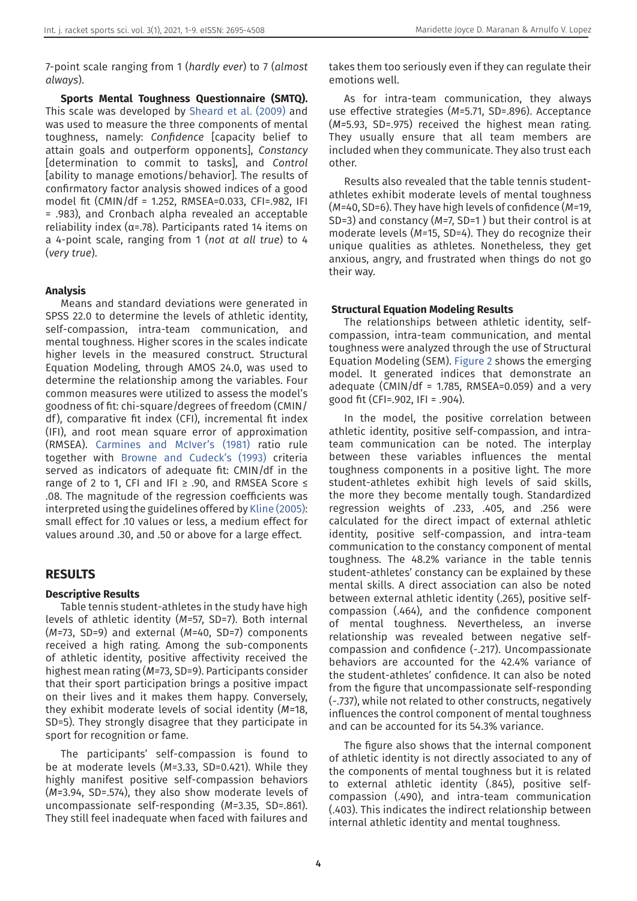7-point scale ranging from 1 (*hardly ever*) to 7 (*almost always*).

**Sports Mental Toughness Questionnaire (SMTQ).**  This scale was developed by [Sheard et al. \(2009\)](#page-8-7) and was used to measure the three components of mental toughness, namely: *Confidence* [capacity belief to attain goals and outperform opponents], *Constancy* [determination to commit to tasks], and *Control* [ability to manage emotions/behavior]. The results of confirmatory factor analysis showed indices of a good model fit (CMIN/df = 1.252, RMSEA=0.033, CFI=.982, IFI = .983), and Cronbach alpha revealed an acceptable reliability index ( $\alpha$ =.78). Participants rated 14 items on a 4-point scale, ranging from 1 (*not at all true*) to 4 (*very true*).

#### **Analysis**

Means and standard deviations were generated in SPSS 22.0 to determine the levels of athletic identity, self-compassion, intra-team communication, and mental toughness. Higher scores in the scales indicate higher levels in the measured construct. Structural Equation Modeling, through AMOS 24.0, was used to determine the relationship among the variables. Four common measures were utilized to assess the model's goodness of fit: chi-square/degrees of freedom (CMIN/ df), comparative fit index (CFI), incremental fit index (IFI), and root mean square error of approximation (RMSEA). [Carmines and McIver's \(1981\)](#page-6-5) ratio rule together with [Browne and Cudeck's \(1993\)](#page-6-6) criteria served as indicators of adequate fit: CMIN/df in the range of 2 to 1, CFI and IFI  $\ge$  .90, and RMSEA Score  $\le$ .08. The magnitude of the regression coefficients was interpreted using the guidelines offered by [Kline \(2005\)](#page-7-12): small effect for .10 values or less, a medium effect for values around .30, and .50 or above for a large effect.

#### **RESULTS**

#### **Descriptive Results**

Table tennis student-athletes in the study have high levels of athletic identity (*M=*57, SD=7). Both internal (*M=*73, SD=9) and external (*M=*40, SD=7) components received a high rating. Among the sub-components of athletic identity, positive affectivity received the highest mean rating (*M=*73, SD=9). Participants consider that their sport participation brings a positive impact on their lives and it makes them happy. Conversely, they exhibit moderate levels of social identity (*M=*18, SD=5). They strongly disagree that they participate in sport for recognition or fame.

The participants' self-compassion is found to be at moderate levels (*M=*3.33, SD=0.421). While they highly manifest positive self-compassion behaviors (*M=*3.94, SD=.574), they also show moderate levels of uncompassionate self-responding (*M=*3.35, SD=.861). They still feel inadequate when faced with failures and

takes them too seriously even if they can regulate their emotions well.

As for intra-team communication, they always use effective strategies (*M=*5.71, SD=.896). Acceptance (*M=*5.93, SD=.975) received the highest mean rating. They usually ensure that all team members are included when they communicate. They also trust each other.

Results also revealed that the table tennis studentathletes exhibit moderate levels of mental toughness (*M=*40, SD=6). They have high levels of confidence (*M=*19, SD=3) and constancy (*M=*7, SD=1 ) but their control is at moderate levels (*M=*15, SD=4). They do recognize their unique qualities as athletes. Nonetheless, they get anxious, angry, and frustrated when things do not go their way.

#### **Structural Equation Modeling Results**

The relationships between athletic identity, selfcompassion, intra-team communication, and mental toughness were analyzed through the use of Structural Equation Modeling (SEM)[. Figure 2](#page-4-0) shows the emerging model. It generated indices that demonstrate an adequate (CMIN/df = 1.785, RMSEA=0.059) and a very good fit (CFI=.902, IFI = .904).

In the model, the positive correlation between athletic identity, positive self-compassion, and intrateam communication can be noted. The interplay between these variables influences the mental toughness components in a positive light. The more student-athletes exhibit high levels of said skills, the more they become mentally tough. Standardized regression weights of .233, .405, and .256 were calculated for the direct impact of external athletic identity, positive self-compassion, and intra-team communication to the constancy component of mental toughness. The 48.2% variance in the table tennis student-athletes' constancy can be explained by these mental skills. A direct association can also be noted between external athletic identity (.265), positive selfcompassion (.464), and the confidence component of mental toughness. Nevertheless, an inverse relationship was revealed between negative selfcompassion and confidence (-.217). Uncompassionate behaviors are accounted for the 42.4% variance of the student-athletes' confidence. It can also be noted from the figure that uncompassionate self-responding (-.737), while not related to other constructs, negatively influences the control component of mental toughness and can be accounted for its 54.3% variance.

The figure also shows that the internal component of athletic identity is not directly associated to any of the components of mental toughness but it is related to external athletic identity (.845), positive selfcompassion (.490), and intra-team communication (.403). This indicates the indirect relationship between internal athletic identity and mental toughness.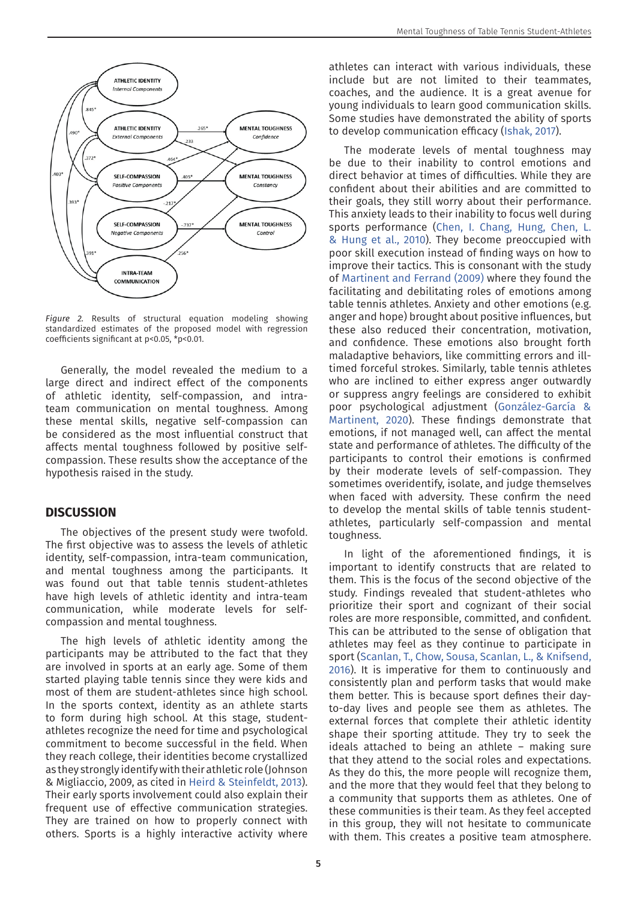

<span id="page-4-0"></span>*Figure 2.* Results of structural equation modeling showing standardized estimates of the proposed model with regression coefficients significant at p<0.05, \*p<0.01.

Generally, the model revealed the medium to a large direct and indirect effect of the components of athletic identity, self-compassion, and intrateam communication on mental toughness. Among these mental skills, negative self-compassion can be considered as the most influential construct that affects mental toughness followed by positive selfcompassion. These results show the acceptance of the hypothesis raised in the study.

### **DISCUSSION**

The objectives of the present study were twofold. The first objective was to assess the levels of athletic identity, self-compassion, intra-team communication, and mental toughness among the participants. It was found out that table tennis student-athletes have high levels of athletic identity and intra-team communication, while moderate levels for selfcompassion and mental toughness.

The high levels of athletic identity among the participants may be attributed to the fact that they are involved in sports at an early age. Some of them started playing table tennis since they were kids and most of them are student-athletes since high school. In the sports context, identity as an athlete starts to form during high school. At this stage, studentathletes recognize the need for time and psychological commitment to become successful in the field. When they reach college, their identities become crystallized as they strongly identify with their athletic role (Johnson & Migliaccio, 2009, as cited in [Heird & Steinfeldt, 2013](#page-7-13)). Their early sports involvement could also explain their frequent use of effective communication strategies. They are trained on how to properly connect with others. Sports is a highly interactive activity where

athletes can interact with various individuals, these include but are not limited to their teammates, coaches, and the audience. It is a great avenue for young individuals to learn good communication skills. Some studies have demonstrated the ability of sports to develop communication efficacy [\(Ishak, 2017](#page-7-14)).

The moderate levels of mental toughness may be due to their inability to control emotions and direct behavior at times of difficulties. While they are confident about their abilities and are committed to their goals, they still worry about their performance. This anxiety leads to their inability to focus well during sports performance ([Chen, I. Chang, Hung, Chen, L.](#page-6-7)  [& Hung et al., 2010\)](#page-6-7). They become preoccupied with poor skill execution instead of finding ways on how to improve their tactics. This is consonant with the study of [Martinent and Ferrand \(2009\)](#page-7-15) where they found the facilitating and debilitating roles of emotions among table tennis athletes. Anxiety and other emotions (e.g. anger and hope) brought about positive influences, but these also reduced their concentration, motivation, and confidence. These emotions also brought forth maladaptive behaviors, like committing errors and illtimed forceful strokes. Similarly, table tennis athletes who are inclined to either express anger outwardly or suppress angry feelings are considered to exhibit poor psychological adjustment (González-García & Martinent, 2020). These findings demonstrate that emotions, if not managed well, can affect the mental state and performance of athletes. The difficulty of the participants to control their emotions is confirmed by their moderate levels of self-compassion. They sometimes overidentify, isolate, and judge themselves when faced with adversity. These confirm the need to develop the mental skills of table tennis studentathletes, particularly self-compassion and mental toughness.

In light of the aforementioned findings, it is important to identify constructs that are related to them. This is the focus of the second objective of the study. Findings revealed that student-athletes who prioritize their sport and cognizant of their social roles are more responsible, committed, and confident. This can be attributed to the sense of obligation that athletes may feel as they continue to participate in sport ([Scanlan, T., Chow, Sousa, Scanlan, L., & Knifsend,](#page-8-11)  [2016\)](#page-8-11). It is imperative for them to continuously and consistently plan and perform tasks that would make them better. This is because sport defines their dayto-day lives and people see them as athletes. The external forces that complete their athletic identity shape their sporting attitude. They try to seek the ideals attached to being an athlete – making sure that they attend to the social roles and expectations. As they do this, the more people will recognize them, and the more that they would feel that they belong to a community that supports them as athletes. One of these communities is their team. As they feel accepted in this group, they will not hesitate to communicate with them. This creates a positive team atmosphere.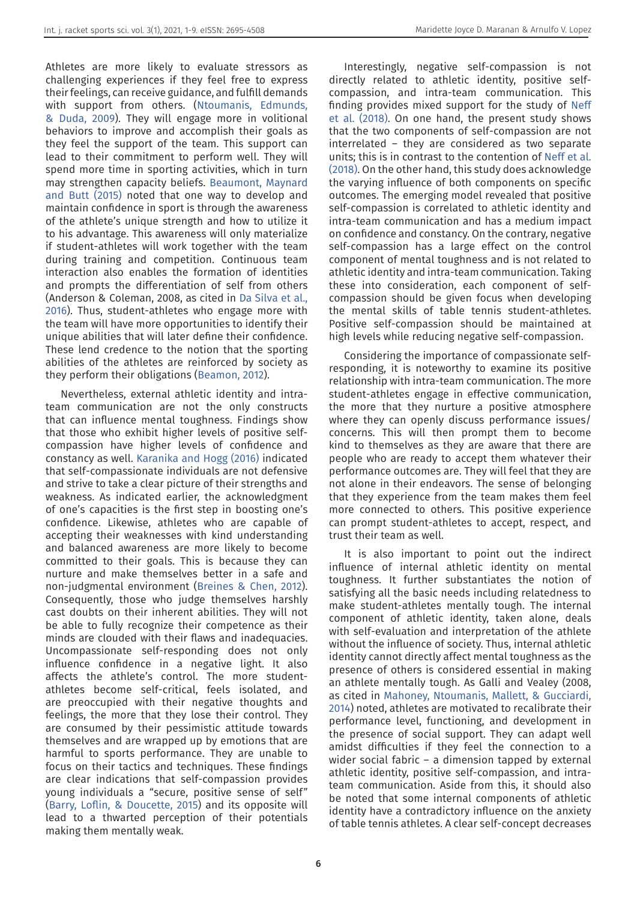Athletes are more likely to evaluate stressors as challenging experiences if they feel free to express their feelings, can receive guidance, and fulfill demands with support from others. [\(Ntoumanis, Edmunds,](#page-7-16)  [& Duda, 2009](#page-7-16)). They will engage more in volitional behaviors to improve and accomplish their goals as they feel the support of the team. This support can lead to their commitment to perform well. They will spend more time in sporting activities, which in turn may strengthen capacity beliefs. [Beaumont, Maynard](#page-6-8)  [and Butt \(2015\)](#page-6-8) noted that one way to develop and maintain confidence in sport is through the awareness of the athlete's unique strength and how to utilize it to his advantage. This awareness will only materialize if student-athletes will work together with the team during training and competition. Continuous team interaction also enables the formation of identities and prompts the differentiation of self from others (Anderson & Coleman, 2008, as cited in [Da Silva et al.,](#page-7-17)  [2016](#page-7-17)). Thus, student-athletes who engage more with the team will have more opportunities to identify their unique abilities that will later define their confidence. These lend credence to the notion that the sporting abilities of the athletes are reinforced by society as they perform their obligations ([Beamon, 2012\)](#page-6-9).

Nevertheless, external athletic identity and intrateam communication are not the only constructs that can influence mental toughness. Findings show that those who exhibit higher levels of positive selfcompassion have higher levels of confidence and constancy as well. [Karanika and Hogg \(2016\)](#page-7-18) indicated that self-compassionate individuals are not defensive and strive to take a clear picture of their strengths and weakness. As indicated earlier, the acknowledgment of one's capacities is the first step in boosting one's confidence. Likewise, athletes who are capable of accepting their weaknesses with kind understanding and balanced awareness are more likely to become committed to their goals. This is because they can nurture and make themselves better in a safe and non-judgmental environment [\(Breines & Chen, 2012](#page-6-10)). Consequently, those who judge themselves harshly cast doubts on their inherent abilities. They will not be able to fully recognize their competence as their minds are clouded with their flaws and inadequacies. Uncompassionate self-responding does not only influence confidence in a negative light. It also affects the athlete's control. The more studentathletes become self-critical, feels isolated, and are preoccupied with their negative thoughts and feelings, the more that they lose their control. They are consumed by their pessimistic attitude towards themselves and are wrapped up by emotions that are harmful to sports performance. They are unable to focus on their tactics and techniques. These findings are clear indications that self-compassion provides young individuals a "secure, positive sense of self" ([Barry, Loflin, & Doucette, 2015](#page-6-11)) and its opposite will lead to a thwarted perception of their potentials making them mentally weak.

Interestingly, negative self-compassion is not directly related to athletic identity, positive selfcompassion, and intra-team communication. This finding provides mixed support for the study of [Neff](#page-7-19)  [et al. \(2018\)](#page-7-19). On one hand, the present study shows that the two components of self-compassion are not interrelated – they are considered as two separate units; this is in contrast to the contention of [Neff et al.](#page-7-19)  [\(2018\)](#page-7-19). On the other hand, this study does acknowledge the varying influence of both components on specific outcomes. The emerging model revealed that positive self-compassion is correlated to athletic identity and intra-team communication and has a medium impact on confidence and constancy. On the contrary, negative self-compassion has a large effect on the control component of mental toughness and is not related to athletic identity and intra-team communication. Taking these into consideration, each component of selfcompassion should be given focus when developing the mental skills of table tennis student-athletes. Positive self-compassion should be maintained at high levels while reducing negative self-compassion.

Considering the importance of compassionate selfresponding, it is noteworthy to examine its positive relationship with intra-team communication. The more student-athletes engage in effective communication, the more that they nurture a positive atmosphere where they can openly discuss performance issues/ concerns. This will then prompt them to become kind to themselves as they are aware that there are people who are ready to accept them whatever their performance outcomes are. They will feel that they are not alone in their endeavors. The sense of belonging that they experience from the team makes them feel more connected to others. This positive experience can prompt student-athletes to accept, respect, and trust their team as well.

It is also important to point out the indirect influence of internal athletic identity on mental toughness. It further substantiates the notion of satisfying all the basic needs including relatedness to make student-athletes mentally tough. The internal component of athletic identity, taken alone, deals with self-evaluation and interpretation of the athlete without the influence of society. Thus, internal athletic identity cannot directly affect mental toughness as the presence of others is considered essential in making an athlete mentally tough. As Galli and Vealey (2008, as cited in [Mahoney, Ntoumanis, Mallett, & Gucciardi,](#page-7-20)  [2014](#page-7-20)) noted, athletes are motivated to recalibrate their performance level, functioning, and development in the presence of social support. They can adapt well amidst difficulties if they feel the connection to a wider social fabric – a dimension tapped by external athletic identity, positive self-compassion, and intrateam communication. Aside from this, it should also be noted that some internal components of athletic identity have a contradictory influence on the anxiety of table tennis athletes. A clear self-concept decreases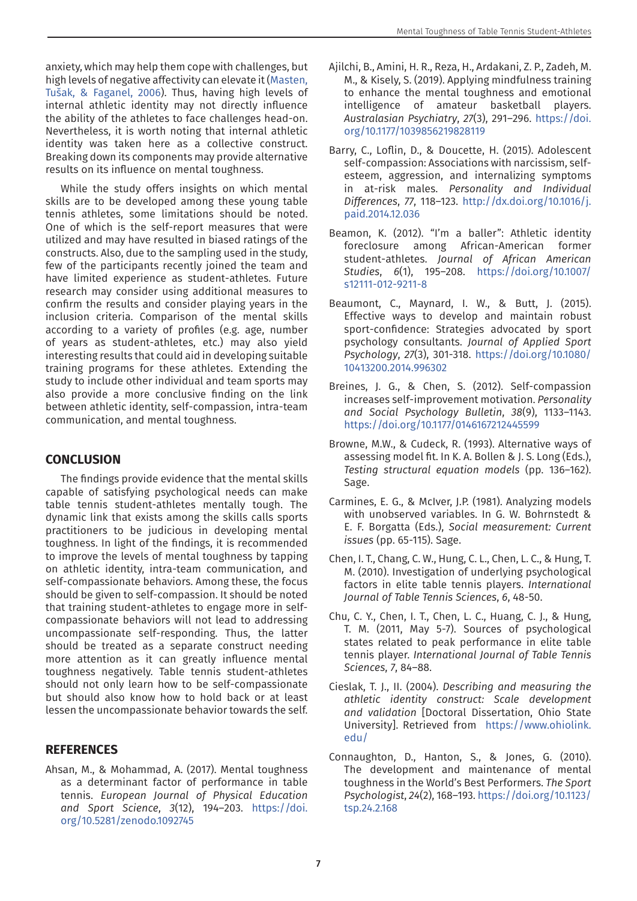anxiety, which may help them cope with challenges, but high levels of negative affectivity can elevate it (Masten, Tušak, & Faganel, 2006). Thus, having high levels of internal athletic identity may not directly influence the ability of the athletes to face challenges head-on. Nevertheless, it is worth noting that internal athletic identity was taken here as a collective construct. Breaking down its components may provide alternative results on its influence on mental toughness.

While the study offers insights on which mental skills are to be developed among these young table tennis athletes, some limitations should be noted. One of which is the self-report measures that were utilized and may have resulted in biased ratings of the constructs. Also, due to the sampling used in the study, few of the participants recently joined the team and have limited experience as student-athletes. Future research may consider using additional measures to confirm the results and consider playing years in the inclusion criteria. Comparison of the mental skills according to a variety of profiles (e.g. age, number of years as student-athletes, etc.) may also yield interesting results that could aid in developing suitable training programs for these athletes. Extending the study to include other individual and team sports may also provide a more conclusive finding on the link between athletic identity, self-compassion, intra-team communication, and mental toughness.

# **CONCLUSION**

The findings provide evidence that the mental skills capable of satisfying psychological needs can make table tennis student-athletes mentally tough. The dynamic link that exists among the skills calls sports practitioners to be judicious in developing mental toughness. In light of the findings, it is recommended to improve the levels of mental toughness by tapping on athletic identity, intra-team communication, and self-compassionate behaviors. Among these, the focus should be given to self-compassion. It should be noted that training student-athletes to engage more in selfcompassionate behaviors will not lead to addressing uncompassionate self-responding. Thus, the latter should be treated as a separate construct needing more attention as it can greatly influence mental toughness negatively. Table tennis student-athletes should not only learn how to be self-compassionate but should also know how to hold back or at least lessen the uncompassionate behavior towards the self.

# **REFERENCES**

<span id="page-6-1"></span>Ahsan, M., & Mohammad, A. (2017). Mental toughness as a determinant factor of performance in table tennis. *European Journal of Physical Education and Sport Science*, *3*(12), 194–203. [https://doi.](https://doi.org/10.5281/zenodo.1092745) [org/10.5281/zenodo.1092745](https://doi.org/10.5281/zenodo.1092745)

- <span id="page-6-0"></span>Ajilchi, B., Amini, H. R., Reza, H., Ardakani, Z. P., Zadeh, M. M., & Kisely, S. (2019). Applying mindfulness training to enhance the mental toughness and emotional intelligence of amateur basketball players. *Australasian Psychiatry*, *27*(3), 291–296. [https://doi.](https://doi.org/10.1177/1039856219828119
) [org/10.1177/1039856219828119](https://doi.org/10.1177/1039856219828119
)
- <span id="page-6-11"></span>Barry, C., Loflin, D., & Doucette, H. (2015). Adolescent self-compassion: Associations with narcissism, selfesteem, aggression, and internalizing symptoms in at-risk males. *Personality and Individual Differences*, *77*, 118–123. [http://dx.doi.org/10.1016/j.](http://dx.doi.org/10.1016/j.paid.2014.12.036
) [paid.2014.12.036](http://dx.doi.org/10.1016/j.paid.2014.12.036
)
- <span id="page-6-9"></span>Beamon, K. (2012). "I'm a baller": Athletic identity foreclosure among African-American former student-athletes. *Journal of African American Studies*, *6*(1), 195–208. [https://doi.org/10.1007/](https://doi.org/10.1007/s12111-012-9211-8
) [s12111-012-9211-8](https://doi.org/10.1007/s12111-012-9211-8
)
- <span id="page-6-8"></span>Beaumont, C., Maynard, I. W., & Butt, J. (2015). Effective ways to develop and maintain robust sport-confidence: Strategies advocated by sport psychology consultants. *Journal of Applied Sport Psychology*, *27*(3), 301-318. [https://doi.org/10.1080/](https://doi.org/10.1080/10413200.2014.996302 
) [10413200.2014.996302](https://doi.org/10.1080/10413200.2014.996302 
)
- <span id="page-6-10"></span>Breines, J. G., & Chen, S. (2012). Self-compassion increases self-improvement motivation. *Personality and Social Psychology Bulletin*, *38*(9), 1133–1143. <https://doi.org/10.1177/0146167212445599>
- <span id="page-6-6"></span>Browne, M.W., & Cudeck, R. (1993). Alternative ways of assessing model fit. In K. A. Bollen & J. S. Long (Eds.), *Testing structural equation models* (pp. 136–162). Sage.
- <span id="page-6-5"></span>Carmines, E. G., & McIver, J.P. (1981). Analyzing models with unobserved variables. In G. W. Bohrnstedt & E. F. Borgatta (Eds.), *Social measurement: Current issues* (pp. 65-115). Sage.
- <span id="page-6-7"></span>Chen, I. T., Chang, C. W., Hung, C. L., Chen, L. C., & Hung, T. M. (2010). Investigation of underlying psychological factors in elite table tennis players. *International Journal of Table Tennis Sciences*, *6*, 48-50.
- <span id="page-6-2"></span>Chu, C. Y., Chen, I. T., Chen, L. C., Huang, C. J., & Hung, T. M. (2011, May 5-7). Sources of psychological states related to peak performance in elite table tennis player. *International Journal of Table Tennis Sciences*, *7*, 84–88.
- <span id="page-6-4"></span>Cieslak, T. J., II. (2004). *Describing and measuring the athletic identity construct: Scale development and validation* [Doctoral Dissertation, Ohio State University]. Retrieved from [https://www.ohiolink.](https://www.ohiolink.edu/) [edu/](https://www.ohiolink.edu/)
- <span id="page-6-3"></span>Connaughton, D., Hanton, S., & Jones, G. (2010). The development and maintenance of mental toughness in the World's Best Performers. *The Sport Psychologist*, *24*(2), 168–193. [https://doi.org/10.1123/](https://doi.org/10.1123/tsp.24.2.168) [tsp.24.2.168](https://doi.org/10.1123/tsp.24.2.168)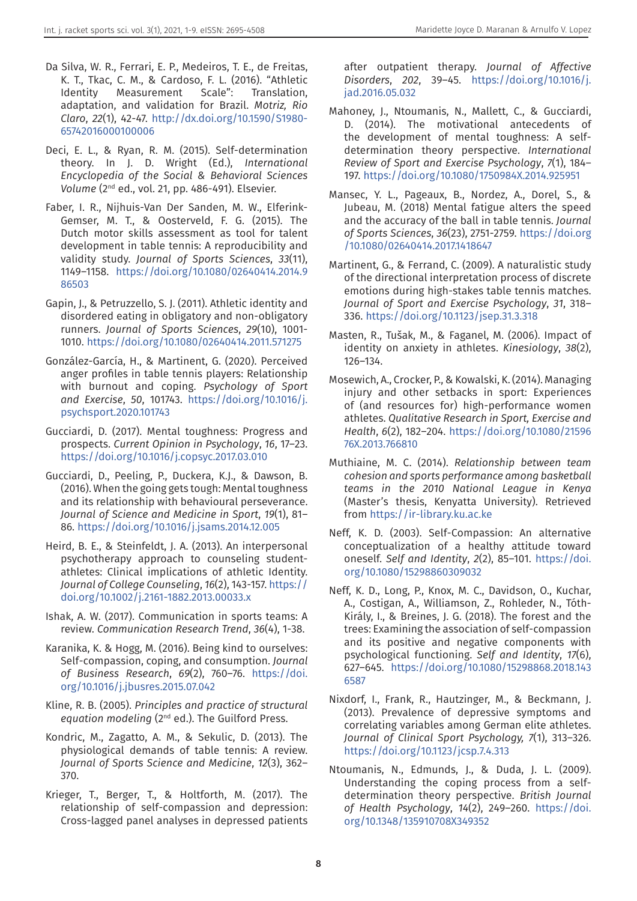- <span id="page-7-17"></span>Da Silva, W. R., Ferrari, E. P., Medeiros, T. E., de Freitas, K. T., Tkac, C. M., & Cardoso, F. L. (2016). "Athletic Identity Measurement Scale": Translation, adaptation, and validation for Brazil. *Motriz, Rio Claro*, *22*(1), 42-47. [http://dx.doi.org/10.1590/S1980-](http://dx.doi.org/10.1590/S1980-65742016000100006) [65742016000100006](http://dx.doi.org/10.1590/S1980-65742016000100006)
- <span id="page-7-2"></span>Deci, E. L., & Ryan, R. M. (2015). Self-determination theory. In J. D. Wright (Ed.), *International Encyclopedia of the Social & Behavioral Sciences Volume* (2nd ed., vol. 21, pp. 486-491). Elsevier.
- <span id="page-7-5"></span>Faber, I. R., Nijhuis-Van Der Sanden, M. W., Elferink-Gemser, M. T., & Oosterveld, F. G. (2015). The Dutch motor skills assessment as tool for talent development in table tennis: A reproducibility and validity study. *Journal of Sports Sciences*, *33*(11), 1149–1158. [https://doi.org/10.1080/02640414.2014.9](https://doi.org/10.1080/02640414.2014.986503) [86503](https://doi.org/10.1080/02640414.2014.986503)
- <span id="page-7-9"></span>Gapin, J., & Petruzzello, S. J. (2011). Athletic identity and disordered eating in obligatory and non-obligatory runners. *Journal of Sports Sciences*, *29*(10), 1001- 1010.<https://doi.org/10.1080/02640414.2011.571275>
- González-García, H., & Martinent, G. (2020). Perceived anger profiles in table tennis players: Relationship with burnout and coping. *Psychology of Sport and Exercise*, *50*, 101743. [https://doi.org/10.1016/j.](https://doi.org/10.1016/j.psychsport.2020.101743) [psychsport.2020.101743](https://doi.org/10.1016/j.psychsport.2020.101743)
- <span id="page-7-10"></span>Gucciardi, D. (2017). Mental toughness: Progress and prospects. *Current Opinion in Psychology*, *16*, 17–23. <https://doi.org/10.1016/j.copsyc.2017.03.010>
- <span id="page-7-3"></span>Gucciardi, D., Peeling, P., Duckera, K.J., & Dawson, B. (2016). When the going gets tough: Mental toughness and its relationship with behavioural perseverance. *Journal of Science and Medicine in Sport*, *19*(1), 81– 86.<https://doi.org/10.1016/j.jsams.2014.12.005>
- <span id="page-7-13"></span>Heird, B. E., & Steinfeldt, J. A. (2013). An interpersonal psychotherapy approach to counseling studentathletes: Clinical implications of athletic Identity. *Journal of College Counseling*, *16*(2), 143-157. [https://](https://doi.org/10.1002/j.2161-1882.2013.00033.x) [doi.org/10.1002/j.2161-1882.2013.00033.x](https://doi.org/10.1002/j.2161-1882.2013.00033.x)
- <span id="page-7-14"></span>Ishak, A. W. (2017). Communication in sports teams: A review. *Communication Research Trend*, *36*(4), 1-38.
- <span id="page-7-18"></span>Karanika, K. & Hogg, M. (2016). Being kind to ourselves: Self-compassion, coping, and consumption. *Journal of Business Research*, *69*(2), 760–76. [https://doi.](https://doi.org/10.1016/j.jbusres.2015.07.042) [org/10.1016/j.jbusres.2015.07.042](https://doi.org/10.1016/j.jbusres.2015.07.042)
- <span id="page-7-12"></span>Kline, R. B. (2005). *Principles and practice of structural equation modeling* (2nd ed.). The Guilford Press.
- <span id="page-7-7"></span>Kondric, M., Zagatto, A. M., & Sekulic, D. (2013). The physiological demands of table tennis: A review. *Journal of Sports Science and Medicine*, *12*(3), 362– 370.
- <span id="page-7-0"></span>Krieger, T., Berger, T., & Holtforth, M. (2017). The relationship of self-compassion and depression: Cross-lagged panel analyses in depressed patients

after outpatient therapy. *Journal of Affective Disorders*, *202*, 39–45. [https://doi.org/10.1016/j.](https://doi.org/10.1016/j.jad.2016.05.032) [jad.2016.05.032](https://doi.org/10.1016/j.jad.2016.05.032)

- <span id="page-7-20"></span>Mahoney, J., Ntoumanis, N., Mallett, C., & Gucciardi, D. (2014). The motivational antecedents of the development of mental toughness: A selfdetermination theory perspective. *International Review of Sport and Exercise Psychology*, *7*(1), 184– 197. <https://doi.org/10.1080/1750984X.2014.925951>
- <span id="page-7-6"></span>Mansec, Y. L., Pageaux, B., Nordez, A., Dorel, S., & Jubeau, M. (2018) Mental fatigue alters the speed and the accuracy of the ball in table tennis. *Journal of Sports Sciences*, *36*(23), 2751-2759. [https://doi.org](https://doi.org/10.1080/02640414.2017.1418647) [/10.1080/02640414.2017.1418647](https://doi.org/10.1080/02640414.2017.1418647)
- <span id="page-7-15"></span>Martinent, G., & Ferrand, C. (2009). A naturalistic study of the directional interpretation process of discrete emotions during high-stakes table tennis matches. *Journal of Sport and Exercise Psychology*, *31*, 318– 336. <https://doi.org/10.1123/jsep.31.3.318>
- Masten, R., Tušak, M., & Faganel, M. (2006). Impact of identity on anxiety in athletes. *Kinesiology*, *38*(2), 126–134.
- <span id="page-7-4"></span>Mosewich, A., Crocker, P., & Kowalski, K. (2014). Managing injury and other setbacks in sport: Experiences of (and resources for) high-performance women athletes. *Qualitative Research in Sport, Exercise and Health*, *6*(2), 182–204. [https://doi.org/10.1080/21596](https://doi.org/10.1080/2159676X.2013.766810) [76X.2013.766810](https://doi.org/10.1080/2159676X.2013.766810)
- <span id="page-7-1"></span>Muthiaine, M. C. (2014). *Relationship between team cohesion and sports performance among basketball teams in the 2010 National League in Kenya*  (Master's thesis, Kenyatta University). Retrieved from <https://ir-library.ku.ac.ke>
- <span id="page-7-11"></span>Neff, K. D. (2003). Self-Compassion: An alternative conceptualization of a healthy attitude toward oneself. *Self and Identity*, *2*(2), 85–101. [https://doi.](https://doi.org/10.1080/15298860309032) [org/10.1080/15298860309032](https://doi.org/10.1080/15298860309032)
- <span id="page-7-19"></span>Neff, K. D., Long, P., Knox, M. C., Davidson, O., Kuchar, A., Costigan, A., Williamson, Z., Rohleder, N., Tóth-Király, I., & Breines, J. G. (2018). The forest and the trees: Examining the association of self-compassion and its positive and negative components with psychological functioning. *Self and Identity*, *17*(6), 627–645. [https://doi.org/10.1080/15298868.2018.143](https://doi.org/10.1080/15298868.2018.1436587) [6587](https://doi.org/10.1080/15298868.2018.1436587)
- <span id="page-7-8"></span>Nixdorf, I., Frank, R., Hautzinger, M., & Beckmann, J. (2013). Prevalence of depressive symptoms and correlating variables among German elite athletes. *Journal of Clinical Sport Psychology, 7*(1), 313–326. <https://doi.org/10.1123/jcsp.7.4.313>
- <span id="page-7-16"></span>Ntoumanis, N., Edmunds, J., & Duda, J. L. (2009). Understanding the coping process from a selfdetermination theory perspective. *British Journal of Health Psychology*, *14*(2), 249–260. [https://doi.](https://doi.org/10.1348/135910708X349352) [org/10.1348/135910708X349352](https://doi.org/10.1348/135910708X349352)